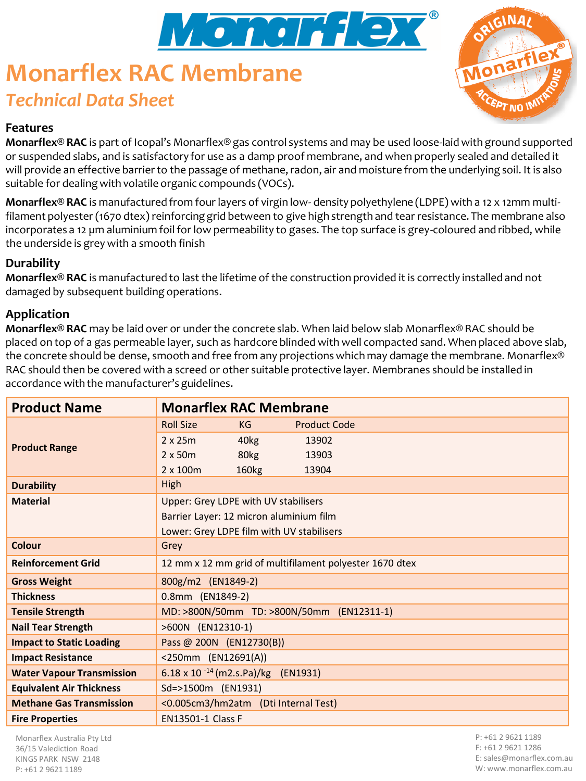

# **Monarflex RAC Membrane** *Technical Data Sheet*



### **Features**

**Monarflex® RAC** is part of Icopal's Monarflex® gas control systems and may be used loose-laid with ground supported or suspended slabs, and is satisfactory for use as a damp proof membrane, and when properly sealed and detailed it will provide an effective barrier to the passage of methane, radon, air and moisture from the underlying soil. It is also suitable for dealing with volatile organic compounds (VOCs).

**Monarflex® RAC** is manufactured from four layers of virgin low- density polyethylene (LDPE) with a 12 x 12mm multifilament polyester (1670 dtex) reinforcing grid between to give high strength and tear resistance. The membrane also incorporates a 12 µm aluminium foil for low permeability to gases. The top surface is grey-coloured and ribbed, while the underside is grey with a smooth finish

#### **Durability**

**Monarflex® RAC** is manufactured to last the lifetime of the construction provided it is correctly installed and not damaged by subsequent building operations.

#### **Application**

**Monarflex® RAC** may be laid over or under the concrete slab. When laid below slab Monarflex® RAC should be placed on top of a gas permeable layer, such as hardcore blinded with well compacted sand. When placed above slab, the concrete should be dense, smooth and free from any projections which may damage the membrane. Monarflex® RAC should then be covered with a screed or other suitable protective layer. Membranes should be installed in accordance with the manufacturer's guidelines.

| <b>Product Name</b>              | <b>Monarflex RAC Membrane</b>                           |
|----------------------------------|---------------------------------------------------------|
| <b>Product Range</b>             | <b>Roll Size</b><br><b>Product Code</b><br>KG           |
|                                  | $2 \times 25m$<br>40 <sub>kg</sub><br>13902             |
|                                  | $2 \times 50m$<br>80kg<br>13903                         |
|                                  | $2 \times 100$ m<br>160 <sub>kg</sub><br>13904          |
| <b>Durability</b>                | High                                                    |
| <b>Material</b>                  | Upper: Grey LDPE with UV stabilisers                    |
|                                  | Barrier Layer: 12 micron aluminium film                 |
|                                  | Lower: Grey LDPE film with UV stabilisers               |
| Colour                           | Grey                                                    |
| <b>Reinforcement Grid</b>        | 12 mm x 12 mm grid of multifilament polyester 1670 dtex |
| <b>Gross Weight</b>              | 800g/m2 (EN1849-2)                                      |
| <b>Thickness</b>                 | 0.8mm (EN1849-2)                                        |
| <b>Tensile Strength</b>          | MD: >800N/50mm TD: >800N/50mm (EN12311-1)               |
| <b>Nail Tear Strength</b>        | >600N (EN12310-1)                                       |
| <b>Impact to Static Loading</b>  | Pass @ 200N (EN12730(B))                                |
| <b>Impact Resistance</b>         | <250mm (EN12691(A))                                     |
| <b>Water Vapour Transmission</b> | 6.18 x 10 $-14$ (m2.s.Pa)/kg (EN1931)                   |
| <b>Equivalent Air Thickness</b>  | Sd=>1500m (EN1931)                                      |
| <b>Methane Gas Transmission</b>  | <0.005cm3/hm2atm (Dti Internal Test)                    |
| <b>Fire Properties</b>           | <b>EN13501-1 Class F</b>                                |

Monarflex Australia Pty Ltd 36/15 Valediction Road KINGS PARK NSW 2148 P: +61 2 9621 1189

P: +61 2 9621 1189 F: +61 2 9621 1286 E: sales@monarflex.com.au W: www.monarflex.com.au